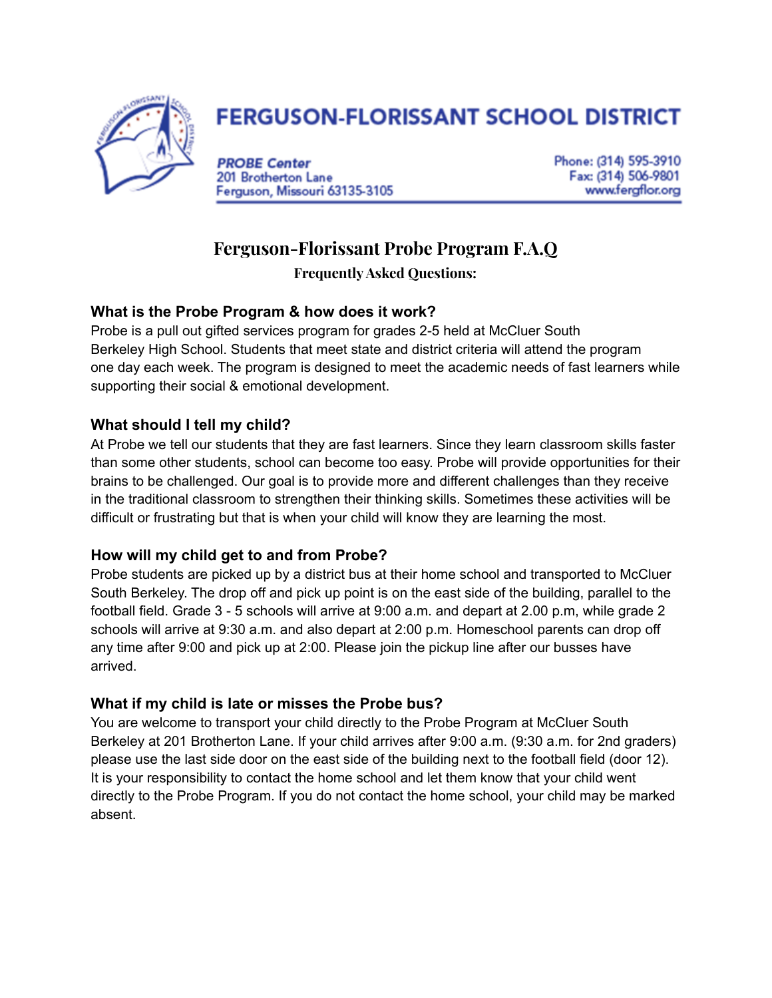

# **FERGUSON-FLORISSANT SCHOOL DISTRICT**

**PROBE Center** 201 Brotherton Lane Ferguson, Missouri 63135-3105 Phone: (314) 595-3910 Fax: (314) 506-9801 www.fergflor.org

# **Ferguson-Florissant Probe Program F.A.Q**

**FrequentlyAsked Questions:**

# **What is the Probe Program & how does it work?**

Probe is a pull out gifted services program for grades 2-5 held at McCluer South Berkeley High School. Students that meet state and district criteria will attend the program one day each week. The program is designed to meet the academic needs of fast learners while supporting their social & emotional development.

#### **What should I tell my child?**

At Probe we tell our students that they are fast learners. Since they learn classroom skills faster than some other students, school can become too easy. Probe will provide opportunities for their brains to be challenged. Our goal is to provide more and different challenges than they receive in the traditional classroom to strengthen their thinking skills. Sometimes these activities will be difficult or frustrating but that is when your child will know they are learning the most.

# **How will my child get to and from Probe?**

Probe students are picked up by a district bus at their home school and transported to McCluer South Berkeley. The drop off and pick up point is on the east side of the building, parallel to the football field. Grade 3 - 5 schools will arrive at 9:00 a.m. and depart at 2.00 p.m, while grade 2 schools will arrive at 9:30 a.m. and also depart at 2:00 p.m. Homeschool parents can drop off any time after 9:00 and pick up at 2:00. Please join the pickup line after our busses have arrived.

# **What if my child is late or misses the Probe bus?**

You are welcome to transport your child directly to the Probe Program at McCluer South Berkeley at 201 Brotherton Lane. If your child arrives after 9:00 a.m. (9:30 a.m. for 2nd graders) please use the last side door on the east side of the building next to the football field (door 12). It is your responsibility to contact the home school and let them know that your child went directly to the Probe Program. If you do not contact the home school, your child may be marked absent.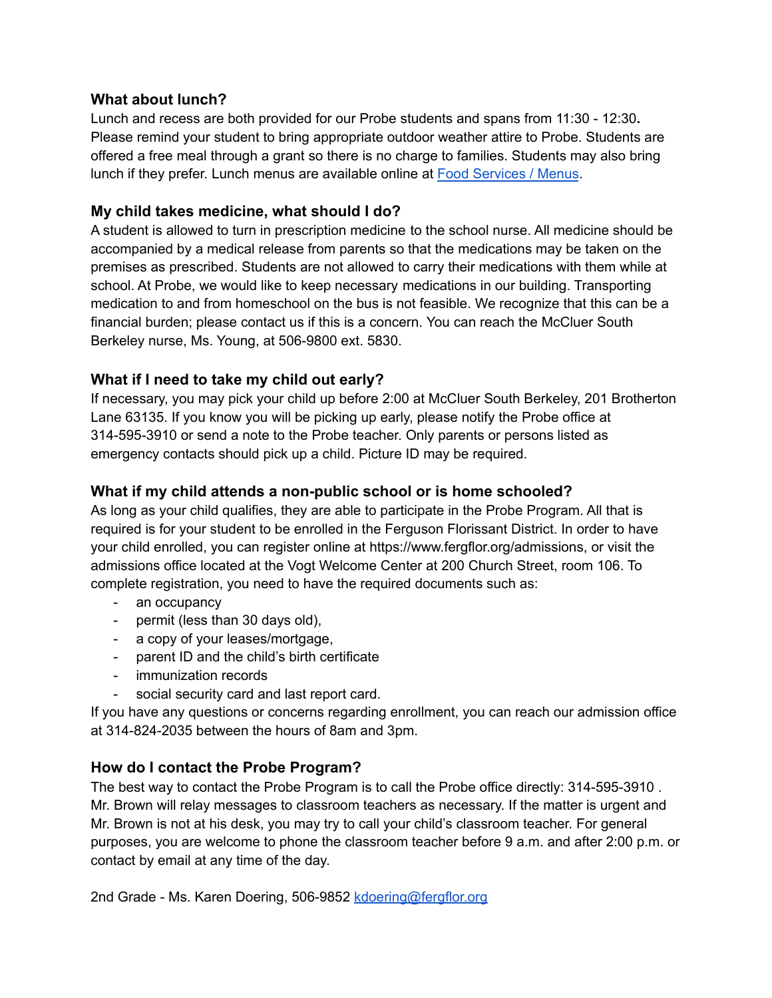#### **What about lunch?**

Lunch and recess are both provided for our Probe students and spans from 11:30 - 12:30**.** Please remind your student to bring appropriate outdoor weather attire to Probe. Students are offered a free meal through a grant so there is no charge to families. Students may also bring lunch if they prefer. Lunch menus are available online at Food [Services](https://www.fergflor.org/Page/3889) / Menus.

#### **My child takes medicine, what should I do?**

A student is allowed to turn in prescription medicine to the school nurse. All medicine should be accompanied by a medical release from parents so that the medications may be taken on the premises as prescribed. Students are not allowed to carry their medications with them while at school. At Probe, we would like to keep necessary medications in our building. Transporting medication to and from homeschool on the bus is not feasible. We recognize that this can be a financial burden; please contact us if this is a concern. You can reach the McCluer South Berkeley nurse, Ms. Young, at 506-9800 ext. 5830.

# **What if I need to take my child out early?**

If necessary, you may pick your child up before 2:00 at McCluer South Berkeley, 201 Brotherton Lane 63135. If you know you will be picking up early, please notify the Probe office at 314-595-3910 or send a note to the Probe teacher. Only parents or persons listed as emergency contacts should pick up a child. Picture ID may be required.

#### **What if my child attends a non-public school or is home schooled?**

As long as your child qualifies, they are able to participate in the Probe Program. All that is required is for your student to be enrolled in the Ferguson Florissant District. In order to have your child enrolled, you can register online at https://www.fergflor.org/admissions, or visit the admissions office located at the Vogt Welcome Center at 200 Church Street, room 106. To complete registration, you need to have the required documents such as:

- an occupancy
- permit (less than 30 days old),
- a copy of your leases/mortgage,
- parent ID and the child's birth certificate
- immunization records
- social security card and last report card.

If you have any questions or concerns regarding enrollment, you can reach our admission office at 314-824-2035 between the hours of 8am and 3pm.

# **How do I contact the Probe Program?**

The best way to contact the Probe Program is to call the Probe office directly: 314-595-3910 . Mr. Brown will relay messages to classroom teachers as necessary. If the matter is urgent and Mr. Brown is not at his desk, you may try to call your child's classroom teacher. For general purposes, you are welcome to phone the classroom teacher before 9 a.m. and after 2:00 p.m. or contact by email at any time of the day.

2nd Grade - Ms. Karen Doering, 506-9852 [kdoering@fergflor.org](mailto:kdoering@fergflor.org)